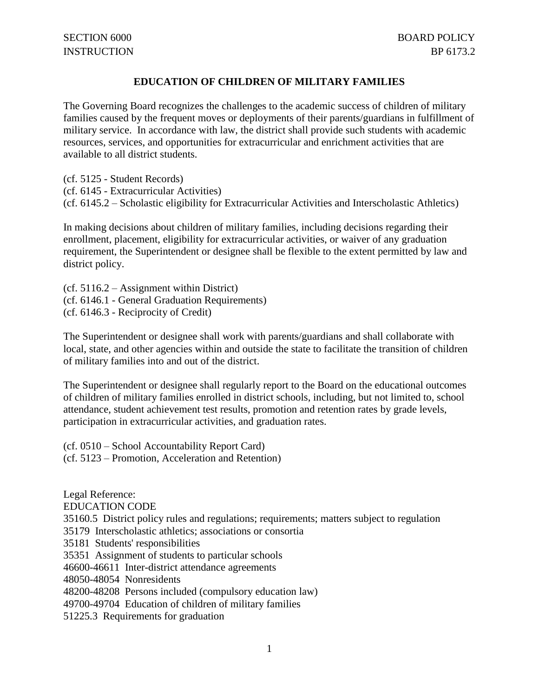## **EDUCATION OF CHILDREN OF MILITARY FAMILIES**

The Governing Board recognizes the challenges to the academic success of children of military families caused by the frequent moves or deployments of their parents/guardians in fulfillment of military service. In accordance with law, the district shall provide such students with academic resources, services, and opportunities for extracurricular and enrichment activities that are available to all district students.

(cf. 5125 - Student Records) (cf. 6145 - Extracurricular Activities) (cf. 6145.2 – Scholastic eligibility for Extracurricular Activities and Interscholastic Athletics)

In making decisions about children of military families, including decisions regarding their enrollment, placement, eligibility for extracurricular activities, or waiver of any graduation requirement, the Superintendent or designee shall be flexible to the extent permitted by law and district policy.

(cf. 5116.2 – Assignment within District) (cf. 6146.1 - General Graduation Requirements) (cf. 6146.3 - Reciprocity of Credit)

The Superintendent or designee shall work with parents/guardians and shall collaborate with local, state, and other agencies within and outside the state to facilitate the transition of children of military families into and out of the district.

The Superintendent or designee shall regularly report to the Board on the educational outcomes of children of military families enrolled in district schools, including, but not limited to, school attendance, student achievement test results, promotion and retention rates by grade levels, participation in extracurricular activities, and graduation rates.

(cf. 0510 – School Accountability Report Card) (cf. 5123 – Promotion, Acceleration and Retention)

Legal Reference: EDUCATION CODE 35160.5 District policy rules and regulations; requirements; matters subject to regulation 35179 Interscholastic athletics; associations or consortia 35181 Students' responsibilities 35351 Assignment of students to particular schools 46600-46611 Inter-district attendance agreements 48050-48054 Nonresidents 48200-48208 Persons included (compulsory education law) 49700-49704 Education of children of military families 51225.3 Requirements for graduation